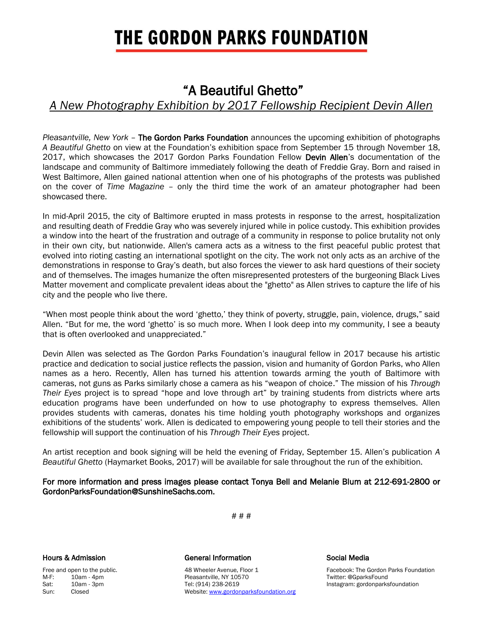# **THE GORDON PARKS FOUNDATION**

## "A Beautiful Ghetto"

## *A New Photography Exhibition by 2017 Fellowship Recipient Devin Allen*

*Pleasantville, New York* – The Gordon Parks Foundation announces the upcoming exhibition of photographs *A Beautiful Ghetto* on view at the Foundation's exhibition space from September 15 through November 18, 2017, which showcases the 2017 Gordon Parks Foundation Fellow Devin Allen's documentation of the landscape and community of Baltimore immediately following the death of Freddie Gray. Born and raised in West Baltimore, Allen gained national attention when one of his photographs of the protests was published on the cover of *Time Magazine* – only the third time the work of an amateur photographer had been showcased there.

In mid-April 2015, the city of Baltimore erupted in mass protests in response to the arrest, hospitalization and resulting death of Freddie Gray who was severely injured while in police custody. This exhibition provides a window into the heart of the frustration and outrage of a community in response to police brutality not only in their own city, but nationwide. Allen's camera acts as a witness to the first peaceful public protest that evolved into rioting casting an international spotlight on the city. The work not only acts as an archive of the demonstrations in response to Gray's death, but also forces the viewer to ask hard questions of their society and of themselves. The images humanize the often misrepresented protesters of the burgeoning Black Lives Matter movement and complicate prevalent ideas about the "ghetto" as Allen strives to capture the life of his city and the people who live there.

"When most people think about the word 'ghetto,' they think of poverty, struggle, pain, violence, drugs," said Allen. "But for me, the word 'ghetto' is so much more. When I look deep into my community, I see a beauty that is often overlooked and unappreciated."

Devin Allen was selected as The Gordon Parks Foundation's inaugural fellow in 2017 because his artistic practice and dedication to social justice reflects the passion, vision and humanity of Gordon Parks, who Allen names as a hero. Recently, Allen has turned his attention towards arming the youth of Baltimore with cameras, not guns as Parks similarly chose a camera as his "weapon of choice." The mission of his *Through Their Eyes* project is to spread "hope and love through art" by training students from districts where arts education programs have been underfunded on how to use photography to express themselves. Allen provides students with cameras, donates his time holding youth photography workshops and organizes exhibitions of the students' work. Allen is dedicated to empowering young people to tell their stories and the fellowship will support the continuation of his *Through Their Eyes* project.

An artist reception and book signing will be held the evening of Friday, September 15. Allen's publication *A Beautiful Ghetto* (Haymarket Books, 2017) will be available for sale throughout the run of the exhibition.

For more information and press images please contact Tonya Bell and Melanie Blum at 212-691-2800 or GordonParksFoundation@SunshineSachs.com.

# # #

## Hours & Admission General Information Social Media

Free and open to the public. The Subset of the ASS of the ASS wheeler Avenue, Floor 1 Facebook: The Gordon Parks Foundation M-F: 10am - 4pm Pleasantville, NY 10570 Twitter: @GparksFound Sat: 10am - 3pm Tel: (914) 238-2619 Instagram: gordonparksfoundation Sun: Closed Closed Close Close Close Mebsite[: www.gordonparksfoundation.org](file:///C:/Users/Bell/AppData/Local/Microsoft/Windows/Temporary%20Internet%20Files/Content.Outlook/8LMBI3QC/www.gordonparksfoundation.org)